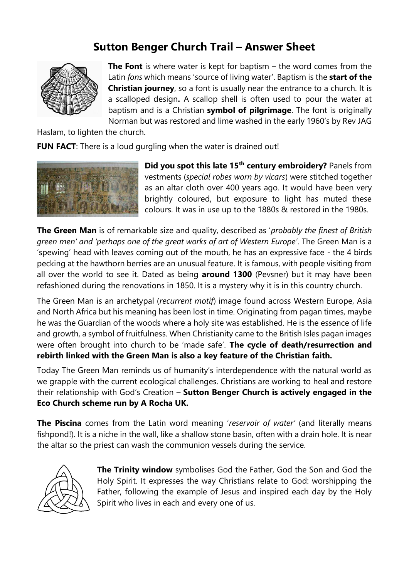## **Sutton Benger Church Trail – Answer Sheet**



**The Font** is where water is kept for baptism – the word comes from the Latin *fons* which means 'source of living water'. Baptism is the **start of the Christian journey**, so a font is usually near the entrance to a church. It is a scalloped design**.** A scallop shell is often used to pour the water at baptism and is a Christian **symbol of pilgrimage**. The font is originally Norman but was restored and lime washed in the early 1960's by Rev JAG

Haslam, to lighten the church.

**FUN FACT:** There is a loud gurgling when the water is drained out!



**Did you spot this late 15th century embroidery?** Panels from vestments (*special robes worn by vicars*) were stitched together as an altar cloth over 400 years ago. It would have been very brightly coloured, but exposure to light has muted these colours. It was in use up to the 1880s & restored in the 1980s.

**The Green Man** is of remarkable size and quality, described as '*probably the finest of British green men' and 'perhaps one of the great works of art of Western Europe'*. The Green Man is a 'spewing' head with leaves coming out of the mouth, he has an expressive face - the 4 birds pecking at the hawthorn berries are an unusual feature. It is famous, with people visiting from all over the world to see it. Dated as being **around 1300** (Pevsner) but it may have been refashioned during the renovations in 1850. It is a mystery why it is in this country church.

The Green Man is an archetypal (*recurrent motif*) image found across Western Europe, Asia and North Africa but his meaning has been lost in time. Originating from pagan times, maybe he was the Guardian of the woods where a holy site was established. He is the essence of life and growth, a symbol of fruitfulness. When Christianity came to the British Isles pagan images were often brought into church to be 'made safe'. **The cycle of death/resurrection and rebirth linked with the Green Man is also a key feature of the Christian faith.** 

Today The Green Man reminds us of humanity's interdependence with the natural world as we grapple with the current ecological challenges. Christians are working to heal and restore their relationship with God's Creation – **Sutton Benger Church is actively engaged in the Eco Church scheme run by A Rocha UK.**

**The Piscina** comes from the Latin word meaning '*reservoir of water'* (and literally means fishpond!). It is a niche in the wall, like a shallow stone basin, often with a drain hole. It is near the altar so the priest can wash the communion vessels during the service.



**The Trinity window** symbolises God the Father, God the Son and God the Holy Spirit. It expresses the way Christians relate to God: worshipping the Father, following the example of Jesus and inspired each day by the Holy Spirit who lives in each and every one of us.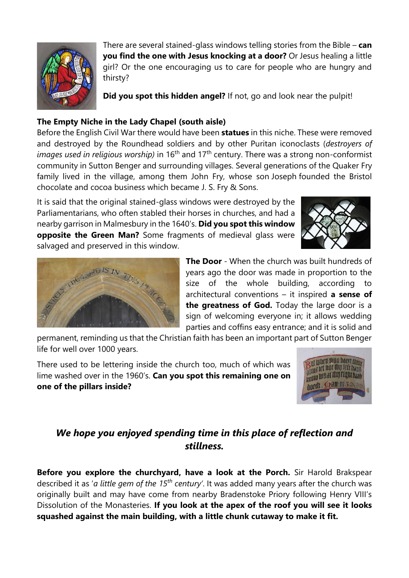

There are several stained-glass windows telling stories from the Bible – **can you find the one with Jesus knocking at a door?** Or Jesus healing a little girl? Or the one encouraging us to care for people who are hungry and thirsty?

**Did you spot this hidden angel?** If not, go and look near the pulpit!

## **The Empty Niche in the Lady Chapel (south aisle)**

Before the English Civil War there would have been **statues** in this niche. These were removed and destroyed by the Roundhead soldiers and by other Puritan iconoclasts (*destroyers of images used in religious worship*) in 16<sup>th</sup> and 17<sup>th</sup> century. There was a strong non-conformist community in Sutton Benger and surrounding villages. Several generations of the [Quaker](https://en.wikipedia.org/wiki/Quakers) Fry family lived in the village, among them John Fry, whose son [Joseph](https://en.wikipedia.org/wiki/Joseph_Fry_(type-founder)) founded the Bristol chocolate and cocoa business which became [J. S. Fry & Sons.](https://en.wikipedia.org/wiki/J._S._Fry_%26_Sons)

It is said that the original stained-glass windows were destroyed by the Parliamentarians, who often stabled their horses in churches, and had a nearby garrison in Malmesbury in the 1640's. **Did you spot this window opposite the Green Man?** Some fragments of medieval glass were salvaged and preserved in this window.





**The Door** - When the church was built hundreds of years ago the door was made in proportion to the size of the whole building, according to architectural conventions – it inspired **a sense of the greatness of God.** Today the large door is a sign of welcoming everyone in; it allows wedding parties and coffins easy entrance; and it is solid and

permanent, reminding us that the Christian faith has been an important part of Sutton Benger life for well over 1000 years.

There used to be lettering inside the church too, much of which was lime washed over in the 1960's. **Can you spot this remaining one on one of the pillars inside?**



## *We hope you enjoyed spending time in this place of reflection and stillness.*

**Before you explore the churchyard, have a look at the Porch.** Sir Harold Brakspear described it as '*a little gem of the 15th century'*. It was added many years after the church was originally built and may have come from nearby Bradenstoke Priory following Henry VIII's Dissolution of the Monasteries. **If you look at the apex of the roof you will see it looks squashed against the main building, with a little chunk cutaway to make it fit.**